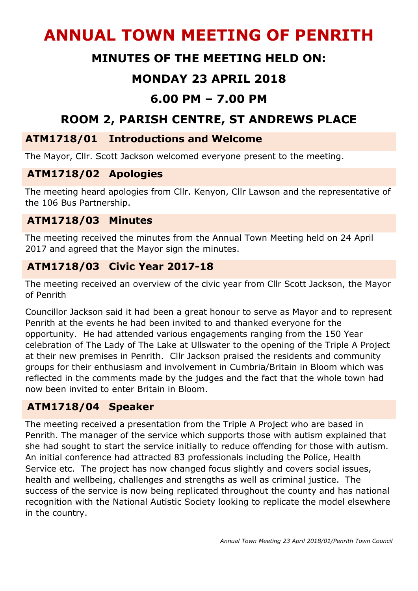# **ANNUAL TOWN MEETING OF PENRITH**

# **MINUTES OF THE MEETING HELD ON:**

# **MONDAY 23 APRIL 2018**

## **6.00 PM – 7.00 PM**

# **ROOM 2, PARISH CENTRE, ST ANDREWS PLACE**

#### **ATM1718/01 Introductions and Welcome**

The Mayor, Cllr. Scott Jackson welcomed everyone present to the meeting.

#### **ATM1718/02 Apologies**

The meeting heard apologies from Cllr. Kenyon, Cllr Lawson and the representative of the 106 Bus Partnership.

#### **ATM1718/03 Minutes**

The meeting received the minutes from the Annual Town Meeting held on 24 April 2017 and agreed that the Mayor sign the minutes.

#### **ATM1718/03 Civic Year 2017-18**

The meeting received an overview of the civic year from Cllr Scott Jackson, the Mayor of Penrith

Councillor Jackson said it had been a great honour to serve as Mayor and to represent Penrith at the events he had been invited to and thanked everyone for the opportunity. He had attended various engagements ranging from the 150 Year celebration of The Lady of The Lake at Ullswater to the opening of the Triple A Project at their new premises in Penrith. Cllr Jackson praised the residents and community groups for their enthusiasm and involvement in Cumbria/Britain in Bloom which was reflected in the comments made by the judges and the fact that the whole town had now been invited to enter Britain in Bloom.

## **ATM1718/04 Speaker**

The meeting received a presentation from the Triple A Project who are based in Penrith. The manager of the service which supports those with autism explained that she had sought to start the service initially to reduce offending for those with autism. An initial conference had attracted 83 professionals including the Police, Health Service etc. The project has now changed focus slightly and covers social issues, health and wellbeing, challenges and strengths as well as criminal justice. The success of the service is now being replicated throughout the county and has national recognition with the National Autistic Society looking to replicate the model elsewhere in the country.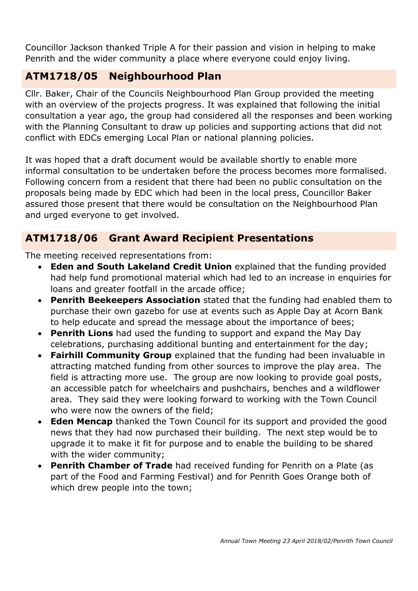Councillor Jackson thanked Triple A for their passion and vision in helping to make Penrith and the wider community a place where everyone could enjoy living.

## **ATM1718/05 Neighbourhood Plan**

Cllr. Baker, Chair of the Councils Neighbourhood Plan Group provided the meeting with an overview of the projects progress. It was explained that following the initial consultation a year ago, the group had considered all the responses and been working with the Planning Consultant to draw up policies and supporting actions that did not conflict with EDCs emerging Local Plan or national planning policies.

It was hoped that a draft document would be available shortly to enable more informal consultation to be undertaken before the process becomes more formalised. Following concern from a resident that there had been no public consultation on the proposals being made by EDC which had been in the local press, Councillor Baker assured those present that there would be consultation on the Neighbourhood Plan and urged everyone to get involved.

## **ATM1718/06 Grant Award Recipient Presentations**

The meeting received representations from:

- **Eden and South Lakeland Credit Union** explained that the funding provided had help fund promotional material which had led to an increase in enquiries for loans and greater footfall in the arcade office;
- **Penrith Beekeepers Association** stated that the funding had enabled them to purchase their own gazebo for use at events such as Apple Day at Acorn Bank to help educate and spread the message about the importance of bees;
- **Penrith Lions** had used the funding to support and expand the May Day celebrations, purchasing additional bunting and entertainment for the day;
- **Fairhill Community Group** explained that the funding had been invaluable in attracting matched funding from other sources to improve the play area. The field is attracting more use. The group are now looking to provide goal posts, an accessible patch for wheelchairs and pushchairs, benches and a wildflower area. They said they were looking forward to working with the Town Council who were now the owners of the field;
- **Eden Mencap** thanked the Town Council for its support and provided the good news that they had now purchased their building. The next step would be to upgrade it to make it fit for purpose and to enable the building to be shared with the wider community;
- **Penrith Chamber of Trade** had received funding for Penrith on a Plate (as part of the Food and Farming Festival) and for Penrith Goes Orange both of which drew people into the town;